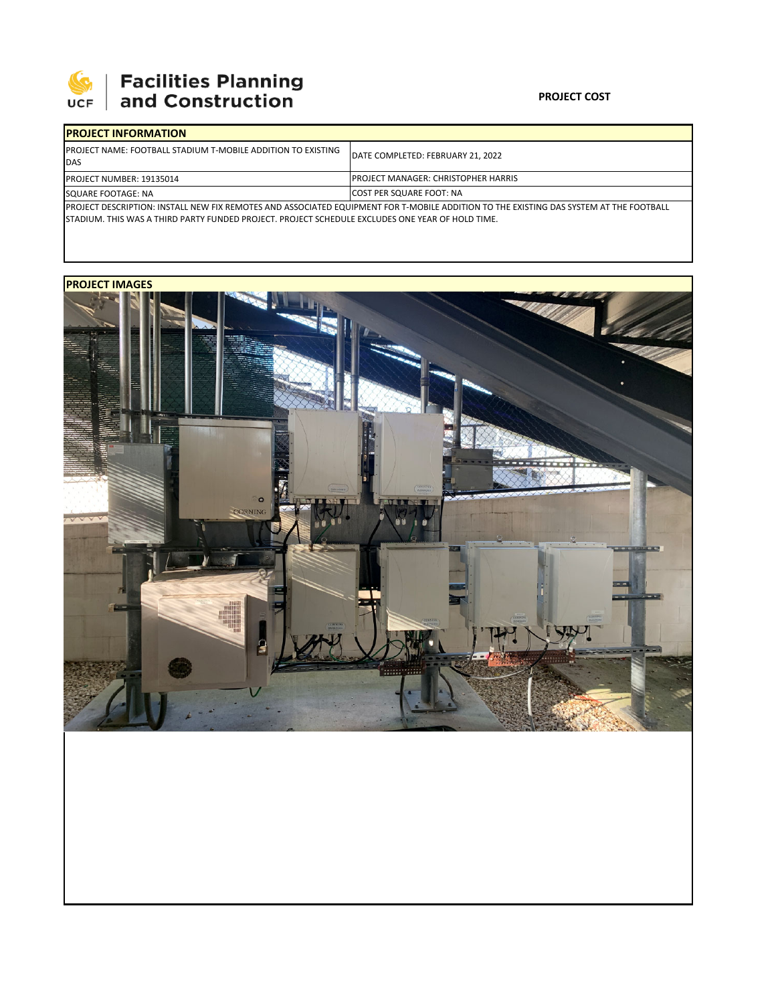

## **SEPTE SECUTE 15 SECURITIES Planning**<br>UCF and Construction

## **PROJECT COST**

| <b>IPROJECT INFORMATION</b>                                                                                                            |                                             |  |  |  |
|----------------------------------------------------------------------------------------------------------------------------------------|---------------------------------------------|--|--|--|
| <b>IPROJECT NAME: FOOTBALL STADIUM T-MOBILE ADDITION TO EXISTING</b><br><b>IDAS</b>                                                    | DATE COMPLETED: FEBRUARY 21. 2022           |  |  |  |
| <b>IPROJECT NUMBER: 19135014</b>                                                                                                       | <b>IPROJECT MANAGER: CHRISTOPHER HARRIS</b> |  |  |  |
| SQUARE FOOTAGE: NA                                                                                                                     | <b>COST PER SQUARE FOOT: NA</b>             |  |  |  |
| PROJECT DESCRIPTION: INSTALL NEW FIX REMOTES AND ASSOCIATED EQUIPMENT FOR T-MOBILE ADDITION TO THE EXISTING DAS SYSTEM AT THE FOOTBALL |                                             |  |  |  |

STADIUM. THIS WAS A THIRD PARTY FUNDED PROJECT. PROJECT SCHEDULE EXCLUDES ONE YEAR OF HOLD TIME.